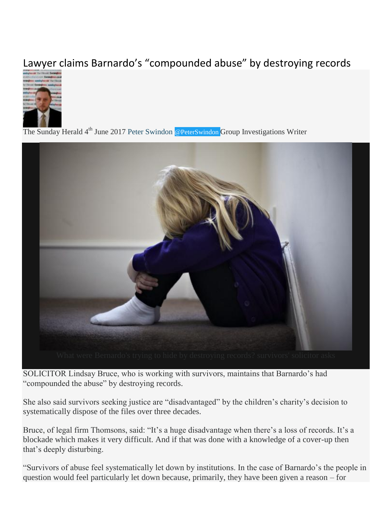## Lawyer claims Barnardo's "compounded abuse" by destroying records



The Sunday Herald 4<sup>th</sup> June 2017 [Peter Swindon](http://www.heraldscotland.com/author/profile/73463.Peter_Swindon/) [@PeterSwindon](http://www.twitter.com/@PeterSwindon) Group Investigations Writer



SOLICITOR Lindsay Bruce, who is working with survivors, maintains that Barnardo's had "compounded the abuse" by destroying records.

She also said survivors seeking justice are "disadvantaged" by the children's charity's decision to systematically dispose of the files over three decades.

Bruce, of legal firm Thomsons, said: "It's a huge disadvantage when there's a loss of records. It's a blockade which makes it very difficult. And if that was done with a knowledge of a cover-up then that's deeply disturbing.

"Survivors of abuse feel systematically let down by institutions. In the case of Barnardo's the people in question would feel particularly let down because, primarily, they have been given a reason – for